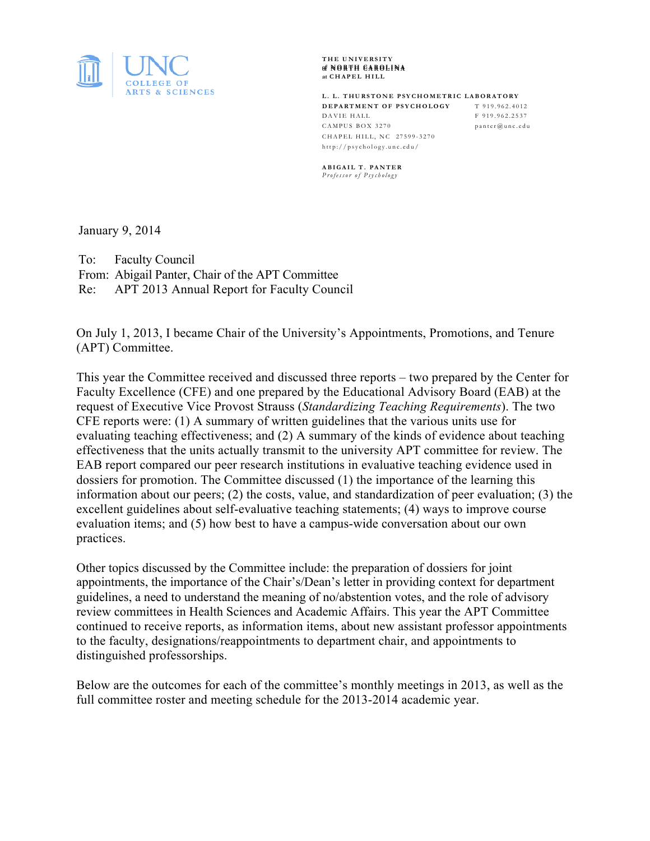

**THE UNIVERSITY of of NORTH CAROLINA at CHAPEL HILL**

**L. L. THURSTONE PSYCHOMETRIC LABORATORY DEPARTMENT OF PSYCHOLOGY** T 919.962.4012 DAVIE HALL F 919.962.2537 CAMPUS BOX 3270 panter@unc.edu CHAPEL HILL, NC 27599 - 3270 http://psychology.unc.edu/

**ABIGAIL T. PANTER** *Professor of Psychology*

January 9, 2014

To: Faculty Council From: Abigail Panter, Chair of the APT Committee Re: APT 2013 Annual Report for Faculty Council

On July 1, 2013, I became Chair of the University's Appointments, Promotions, and Tenure (APT) Committee.

This year the Committee received and discussed three reports – two prepared by the Center for Faculty Excellence (CFE) and one prepared by the Educational Advisory Board (EAB) at the request of Executive Vice Provost Strauss (*Standardizing Teaching Requirements*). The two CFE reports were: (1) A summary of written guidelines that the various units use for evaluating teaching effectiveness; and (2) A summary of the kinds of evidence about teaching effectiveness that the units actually transmit to the university APT committee for review. The EAB report compared our peer research institutions in evaluative teaching evidence used in dossiers for promotion. The Committee discussed (1) the importance of the learning this information about our peers; (2) the costs, value, and standardization of peer evaluation; (3) the excellent guidelines about self-evaluative teaching statements; (4) ways to improve course evaluation items; and (5) how best to have a campus-wide conversation about our own practices.

Other topics discussed by the Committee include: the preparation of dossiers for joint appointments, the importance of the Chair's/Dean's letter in providing context for department guidelines, a need to understand the meaning of no/abstention votes, and the role of advisory review committees in Health Sciences and Academic Affairs. This year the APT Committee continued to receive reports, as information items, about new assistant professor appointments to the faculty, designations/reappointments to department chair, and appointments to distinguished professorships.

Below are the outcomes for each of the committee's monthly meetings in 2013, as well as the full committee roster and meeting schedule for the 2013-2014 academic year.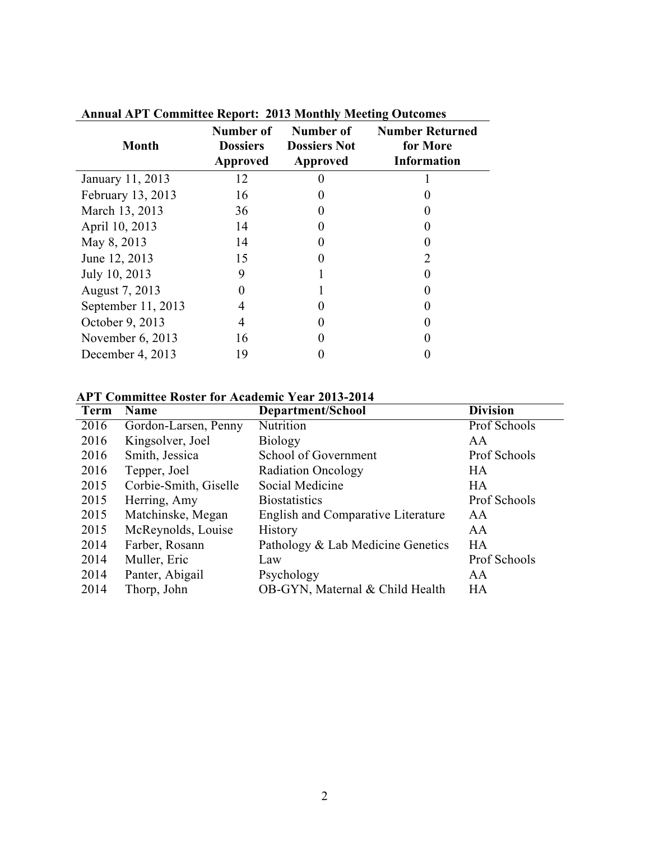| <b>Month</b>         | Number of<br><b>Dossiers</b><br><b>Approved</b> | Number of<br><b>Dossiers Not</b><br><b>Approved</b> | <b>Number Returned</b><br>for More<br><b>Information</b> |
|----------------------|-------------------------------------------------|-----------------------------------------------------|----------------------------------------------------------|
| January 11, 2013     | 12                                              |                                                     |                                                          |
| February 13, 2013    | 16                                              |                                                     |                                                          |
| March 13, 2013       | 36                                              |                                                     |                                                          |
| April 10, 2013       | 14                                              |                                                     |                                                          |
| May 8, 2013          | 14                                              |                                                     |                                                          |
| June 12, 2013        | 15                                              |                                                     |                                                          |
| July 10, 2013        | 9                                               |                                                     |                                                          |
| August 7, 2013       |                                                 |                                                     |                                                          |
| September $11, 2013$ | 4                                               |                                                     |                                                          |
| October 9, 2013      | 4                                               |                                                     |                                                          |
| November $6, 2013$   | 16                                              |                                                     |                                                          |
| December 4, 2013     | 19                                              |                                                     |                                                          |

**Annual APT Committee Report: 2013 Monthly Meeting Outcomes**

## **APT Committee Roster for Academic Year 2013-2014**

| <b>Term</b> | Name                  | Department/School                         | <b>Division</b> |
|-------------|-----------------------|-------------------------------------------|-----------------|
| 2016        | Gordon-Larsen, Penny  | Nutrition                                 | Prof Schools    |
| 2016        | Kingsolver, Joel      | <b>Biology</b>                            | AA              |
| 2016        | Smith, Jessica        | School of Government                      | Prof Schools    |
| 2016        | Tepper, Joel          | <b>Radiation Oncology</b>                 | HA              |
| 2015        | Corbie-Smith, Giselle | Social Medicine                           | HA              |
| 2015        | Herring, Amy          | <b>Biostatistics</b>                      | Prof Schools    |
| 2015        | Matchinske, Megan     | <b>English and Comparative Literature</b> | AA              |
| 2015        | McReynolds, Louise    | <b>History</b>                            | AA              |
| 2014        | Farber, Rosann        | Pathology & Lab Medicine Genetics         | HA              |
| 2014        | Muller, Eric          | Law                                       | Prof Schools    |
| 2014        | Panter, Abigail       | Psychology                                | AA              |
| 2014        | Thorp, John           | OB-GYN, Maternal & Child Health           | HA              |